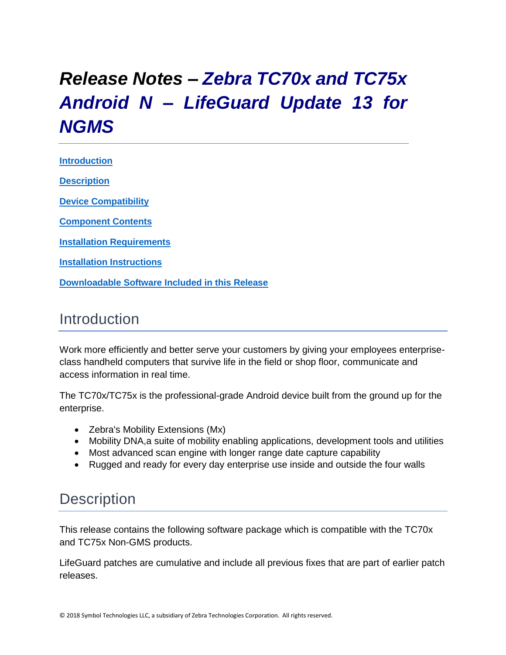# *Release Notes – Zebra TC70x and TC75x Android N – LifeGuard Update 13 for NGMS*

**[Introduction](#page-0-0) [Description](#page-0-1)**

**[Device Compatibility](#page-10-0)**

**[Component Contents](#page-1-0)**

**[Installation Requirements](#page-11-0)**

**[Installation Instructions](#page-11-1)**

**[Downloadable Software Included in this Release](#page-14-0)**

## <span id="page-0-0"></span>Introduction

Work more efficiently and better serve your customers by giving your employees enterpriseclass handheld computers that survive life in the field or shop floor, communicate and access information in real time.

The TC70x/TC75x is the professional-grade Android device built from the ground up for the enterprise.

- Zebra's Mobility Extensions (Mx)
- Mobility DNA,a suite of mobility enabling applications, development tools and utilities
- Most advanced scan engine with longer range date capture capability
- Rugged and ready for every day enterprise use inside and outside the four walls

### <span id="page-0-1"></span>**Description**

This release contains the following software package which is compatible with the TC70x and TC75x Non-GMS products.

LifeGuard patches are cumulative and include all previous fixes that are part of earlier patch releases.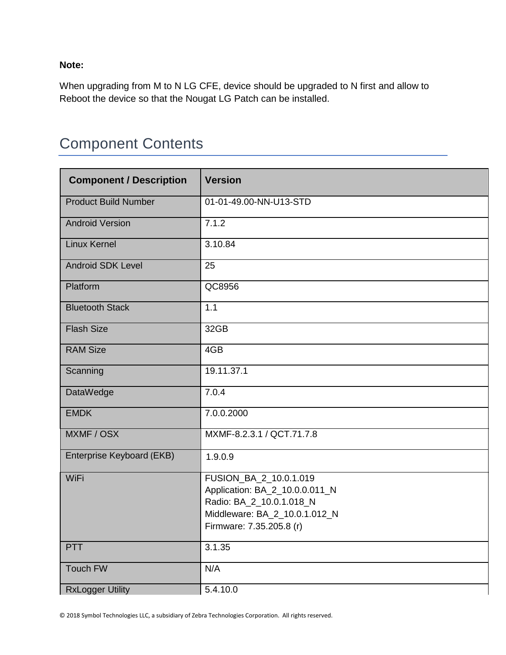**Note:**

When upgrading from M to N LG CFE, device should be upgraded to N first and allow to Reboot the device so that the Nougat LG Patch can be installed.

# <span id="page-1-0"></span>Component Contents

| <b>Component / Description</b> | <b>Version</b>                                                                                                                                    |
|--------------------------------|---------------------------------------------------------------------------------------------------------------------------------------------------|
| <b>Product Build Number</b>    | 01-01-49.00-NN-U13-STD                                                                                                                            |
| <b>Android Version</b>         | 7.1.2                                                                                                                                             |
| <b>Linux Kernel</b>            | 3.10.84                                                                                                                                           |
| <b>Android SDK Level</b>       | 25                                                                                                                                                |
| Platform                       | QC8956                                                                                                                                            |
| <b>Bluetooth Stack</b>         | 1.1                                                                                                                                               |
| <b>Flash Size</b>              | 32GB                                                                                                                                              |
| <b>RAM Size</b>                | 4GB                                                                                                                                               |
| Scanning                       | 19.11.37.1                                                                                                                                        |
| <b>DataWedge</b>               | 7.0.4                                                                                                                                             |
| <b>EMDK</b>                    | 7.0.0.2000                                                                                                                                        |
| MXMF / OSX                     | MXMF-8.2.3.1 / QCT.71.7.8                                                                                                                         |
| Enterprise Keyboard (EKB)      | 1.9.0.9                                                                                                                                           |
| WiFi                           | FUSION_BA_2_10.0.1.019<br>Application: BA_2_10.0.0.011_N<br>Radio: BA_2_10.0.1.018_N<br>Middleware: BA_2_10.0.1.012_N<br>Firmware: 7.35.205.8 (r) |
| <b>PTT</b>                     | 3.1.35                                                                                                                                            |
| <b>Touch FW</b>                | N/A                                                                                                                                               |
| <b>RxLogger Utility</b>        | 5.4.10.0                                                                                                                                          |

© 2018 Symbol Technologies LLC, a subsidiary of Zebra Technologies Corporation. All rights reserved.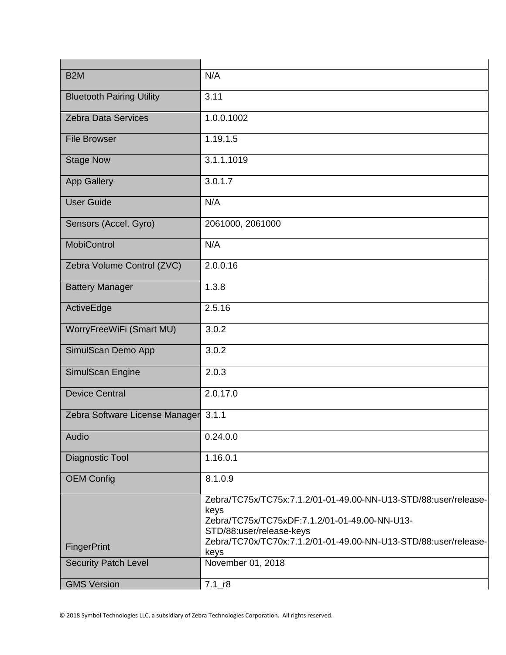| B <sub>2</sub> M                 | N/A                                                                                                                                                                                                                             |
|----------------------------------|---------------------------------------------------------------------------------------------------------------------------------------------------------------------------------------------------------------------------------|
| <b>Bluetooth Pairing Utility</b> | 3.11                                                                                                                                                                                                                            |
| <b>Zebra Data Services</b>       | 1.0.0.1002                                                                                                                                                                                                                      |
| <b>File Browser</b>              | 1.19.1.5                                                                                                                                                                                                                        |
| <b>Stage Now</b>                 | 3.1.1.1019                                                                                                                                                                                                                      |
| <b>App Gallery</b>               | 3.0.1.7                                                                                                                                                                                                                         |
| <b>User Guide</b>                | N/A                                                                                                                                                                                                                             |
| Sensors (Accel, Gyro)            | 2061000, 2061000                                                                                                                                                                                                                |
| <b>MobiControl</b>               | N/A                                                                                                                                                                                                                             |
| Zebra Volume Control (ZVC)       | 2.0.0.16                                                                                                                                                                                                                        |
| <b>Battery Manager</b>           | 1.3.8                                                                                                                                                                                                                           |
| ActiveEdge                       | 2.5.16                                                                                                                                                                                                                          |
| WorryFreeWiFi (Smart MU)         | 3.0.2                                                                                                                                                                                                                           |
| SimulScan Demo App               | 3.0.2                                                                                                                                                                                                                           |
| SimulScan Engine                 | 2.0.3                                                                                                                                                                                                                           |
| <b>Device Central</b>            | 2.0.17.0                                                                                                                                                                                                                        |
| Zebra Software License Manager   | 3.1.1                                                                                                                                                                                                                           |
| Audio                            | 0.24.0.0                                                                                                                                                                                                                        |
| Diagnostic Tool                  | 1.16.0.1                                                                                                                                                                                                                        |
| <b>OEM Config</b>                | 8.1.0.9                                                                                                                                                                                                                         |
| FingerPrint                      | Zebra/TC75x/TC75x:7.1.2/01-01-49.00-NN-U13-STD/88:user/release-<br>keys<br>Zebra/TC75x/TC75xDF:7.1.2/01-01-49.00-NN-U13-<br>STD/88:user/release-keys<br>Zebra/TC70x/TC70x:7.1.2/01-01-49.00-NN-U13-STD/88:user/release-<br>keys |
| <b>Security Patch Level</b>      | November 01, 2018                                                                                                                                                                                                               |
| <b>GMS Version</b>               | $7.1$ <sub>-r8</sub>                                                                                                                                                                                                            |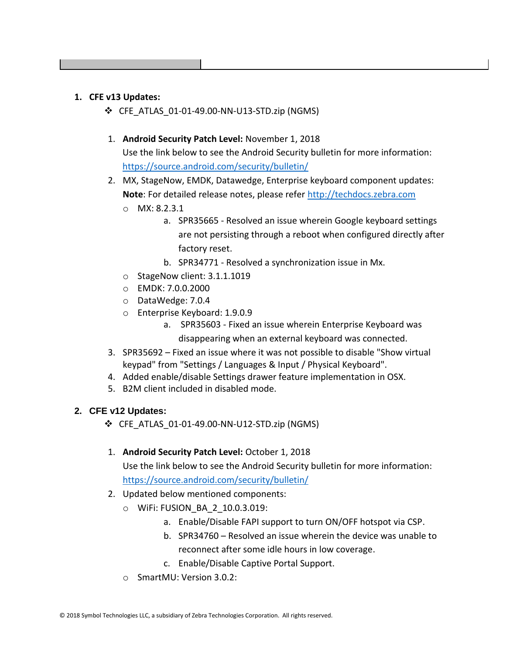#### **1. CFE v13 Updates:**

- ❖ CFE\_ATLAS\_01-01-49.00-NN-U13-STD.zip (NGMS)
- 1. **Android Security Patch Level:** November 1, 2018 Use the link below to see the Android Security bulletin for more information: <https://source.android.com/security/bulletin/>
- 2. MX, StageNow, EMDK, Datawedge, Enterprise keyboard component updates: **Note**: For detailed release notes, please refer [http://techdocs.zebra.com](http://techdocs.zebra.com/)
	- o MX: 8.2.3.1
		- a. SPR35665 Resolved an issue wherein Google keyboard settings are not persisting through a reboot when configured directly after factory reset.
		- b. SPR34771 Resolved a synchronization issue in Mx.
	- o StageNow client: 3.1.1.1019
	- o EMDK: 7.0.0.2000
	- o DataWedge: 7.0.4
	- o Enterprise Keyboard: 1.9.0.9
		- a. SPR35603 Fixed an issue wherein Enterprise Keyboard was disappearing when an external keyboard was connected.
- 3. SPR35692 Fixed an issue where it was not possible to disable "Show virtual keypad" from "Settings / Languages & Input / Physical Keyboard".
- 4. Added enable/disable Settings drawer feature implementation in OSX.
- 5. B2M client included in disabled mode.

#### **2. CFE v12 Updates:**

- ❖ CFE\_ATLAS\_01-01-49.00-NN-U12-STD.zip (NGMS)
- 1. **Android Security Patch Level:** October 1, 2018

Use the link below to see the Android Security bulletin for more information: <https://source.android.com/security/bulletin/>

- 2. Updated below mentioned components:
	- o WiFi: FUSION\_BA\_2\_10.0.3.019:
		- a. Enable/Disable FAPI support to turn ON/OFF hotspot via CSP.
		- b. SPR34760 Resolved an issue wherein the device was unable to reconnect after some idle hours in low coverage.
		- c. Enable/Disable Captive Portal Support.
	- o SmartMU: Version 3.0.2: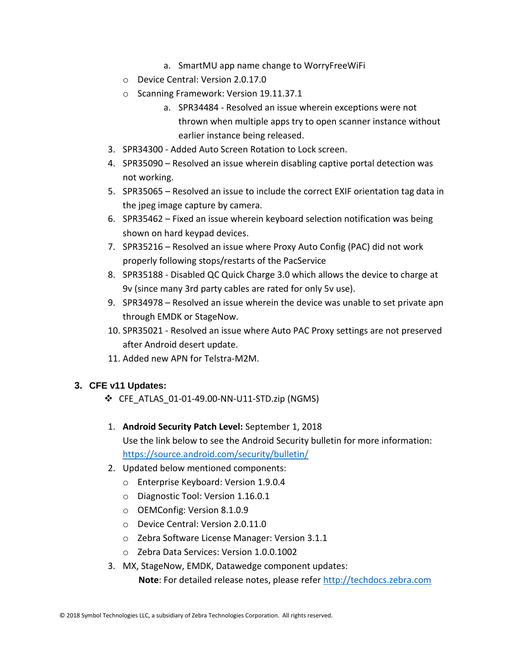- a. SmartMU app name change to WorryFreeWiFi
- o Device Central: Version 2.0.17.0
- o Scanning Framework: Version 19.11.37.1
	- a. SPR34484 Resolved an issue wherein exceptions were not thrown when multiple apps try to open scanner instance without earlier instance being released.
- 3. SPR34300 Added Auto Screen Rotation to Lock screen.
- 4. SPR35090 Resolved an issue wherein disabling captive portal detection was not working.
- 5. SPR35065 Resolved an issue to include the correct EXIF orientation tag data in the jpeg image capture by camera.
- 6. SPR35462 Fixed an issue wherein keyboard selection notification was being shown on hard keypad devices.
- 7. SPR35216 Resolved an issue where Proxy Auto Config (PAC) did not work properly following stops/restarts of the PacService
- 8. SPR35188 Disabled QC Quick Charge 3.0 which allows the device to charge at 9v (since many 3rd party cables are rated for only 5v use).
- 9. SPR34978 Resolved an issue wherein the device was unable to set private apn through EMDK or StageNow.
- 10. SPR35021 Resolved an issue where Auto PAC Proxy settings are not preserved after Android desert update.
- 11. Added new APN for Telstra-M2M.

#### **3. CFE v11 Updates:**

- ❖ CFE\_ATLAS\_01-01-49.00-NN-U11-STD.zip (NGMS)
- 1. **Android Security Patch Level:** September 1, 2018 Use the link below to see the Android Security bulletin for more information: <https://source.android.com/security/bulletin/>
- 2. Updated below mentioned components:
	- o Enterprise Keyboard: Version 1.9.0.4
	- o Diagnostic Tool: Version 1.16.0.1
	- o OEMConfig: Version 8.1.0.9
	- o Device Central: Version 2.0.11.0
	- o Zebra Software License Manager: Version 3.1.1
	- o Zebra Data Services: Version 1.0.0.1002
- 3. MX, StageNow, EMDK, Datawedge component updates:

 **Note**: For detailed release notes, please refer [http://techdocs.zebra.com](http://techdocs.zebra.com/)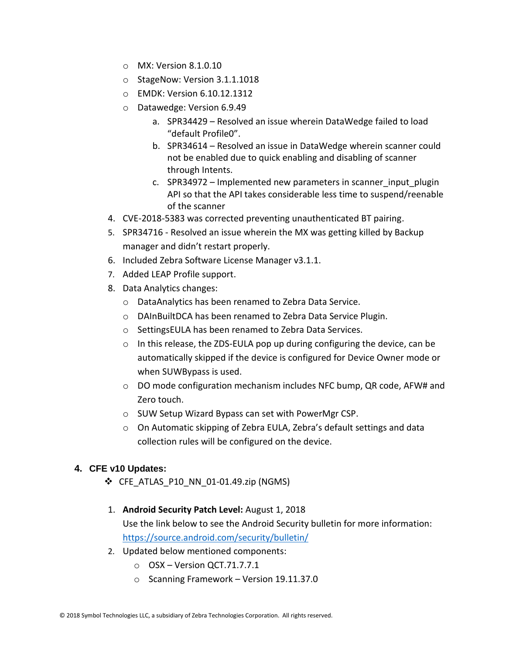- o MX: Version 8.1.0.10
- o StageNow: Version 3.1.1.1018
- o EMDK: Version 6.10.12.1312
- o Datawedge: Version 6.9.49
	- a. SPR34429 Resolved an issue wherein DataWedge failed to load "default Profile0".
	- b. SPR34614 Resolved an issue in DataWedge wherein scanner could not be enabled due to quick enabling and disabling of scanner through Intents.
	- c. SPR34972 Implemented new parameters in scanner input plugin API so that the API takes considerable less time to suspend/reenable of the scanner
- 4. CVE-2018-5383 was corrected preventing unauthenticated BT pairing.
- 5. SPR34716 Resolved an issue wherein the MX was getting killed by Backup manager and didn't restart properly.
- 6. Included Zebra Software License Manager v3.1.1.
- 7. Added LEAP Profile support.
- 8. Data Analytics changes:
	- o DataAnalytics has been renamed to Zebra Data Service.
	- o DAInBuiltDCA has been renamed to Zebra Data Service Plugin.
	- o SettingsEULA has been renamed to Zebra Data Services.
	- $\circ$  In this release, the ZDS-EULA pop up during configuring the device, can be automatically skipped if the device is configured for Device Owner mode or when SUWBypass is used.
	- $\circ$  DO mode configuration mechanism includes NFC bump, QR code, AFW# and Zero touch.
	- o SUW Setup Wizard Bypass can set with PowerMgr CSP.
	- o On Automatic skipping of Zebra EULA, Zebra's default settings and data collection rules will be configured on the device.

#### **4. CFE v10 Updates:**

- ❖ CFE\_ATLAS\_P10\_NN\_01-01.49.zip (NGMS)
- 1. **Android Security Patch Level:** August 1, 2018 Use the link below to see the Android Security bulletin for more information: <https://source.android.com/security/bulletin/>
- 2. Updated below mentioned components:
	- $O$  OSX Version QCT.71.7.7.1
	- o Scanning Framework Version 19.11.37.0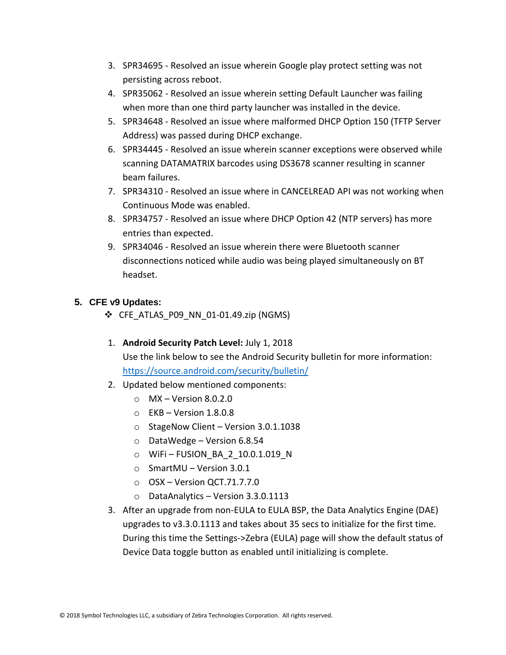- 3. SPR34695 Resolved an issue wherein Google play protect setting was not persisting across reboot.
- 4. SPR35062 Resolved an issue wherein setting Default Launcher was failing when more than one third party launcher was installed in the device.
- 5. SPR34648 Resolved an issue where malformed DHCP Option 150 (TFTP Server Address) was passed during DHCP exchange.
- 6. SPR34445 Resolved an issue wherein scanner exceptions were observed while scanning DATAMATRIX barcodes using DS3678 scanner resulting in scanner beam failures.
- 7. SPR34310 Resolved an issue where in CANCELREAD API was not working when Continuous Mode was enabled.
- 8. SPR34757 Resolved an issue where DHCP Option 42 (NTP servers) has more entries than expected.
- 9. SPR34046 Resolved an issue wherein there were Bluetooth scanner disconnections noticed while audio was being played simultaneously on BT headset.

#### **5. CFE v9 Updates:**

 $\div$  CFE ATLAS P09 NN 01-01.49.zip (NGMS)

#### 1. **Android Security Patch Level:** July 1, 2018

Use the link below to see the Android Security bulletin for more information: <https://source.android.com/security/bulletin/>

- 2. Updated below mentioned components:
	- $\circ$  MX Version 8.0.2.0
	- $\circ$  EKB Version 1.8.0.8
	- o StageNow Client Version 3.0.1.1038
	- o DataWedge Version 6.8.54
	- o WiFi FUSION\_BA\_2\_10.0.1.019\_N
	- o SmartMU Version 3.0.1
	- $\circ$  OSX Version QCT.71.7.7.0
	- o DataAnalytics Version 3.3.0.1113
- 3. After an upgrade from non-EULA to EULA BSP, the Data Analytics Engine (DAE) upgrades to v3.3.0.1113 and takes about 35 secs to initialize for the first time. During this time the Settings->Zebra (EULA) page will show the default status of Device Data toggle button as enabled until initializing is complete.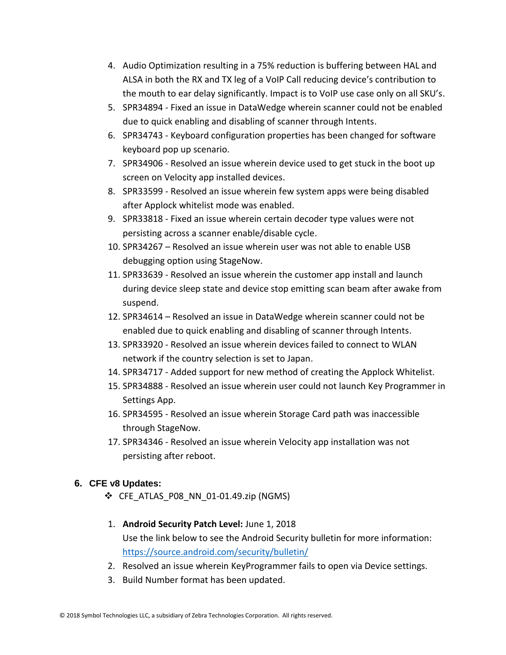- 4. Audio Optimization resulting in a 75% reduction is buffering between HAL and ALSA in both the RX and TX leg of a VoIP Call reducing device's contribution to the mouth to ear delay significantly. Impact is to VoIP use case only on all SKU's.
- 5. SPR34894 Fixed an issue in DataWedge wherein scanner could not be enabled due to quick enabling and disabling of scanner through Intents.
- 6. SPR34743 Keyboard configuration properties has been changed for software keyboard pop up scenario.
- 7. SPR34906 Resolved an issue wherein device used to get stuck in the boot up screen on Velocity app installed devices.
- 8. SPR33599 Resolved an issue wherein few system apps were being disabled after Applock whitelist mode was enabled.
- 9. SPR33818 Fixed an issue wherein certain decoder type values were not persisting across a scanner enable/disable cycle.
- 10. SPR34267 Resolved an issue wherein user was not able to enable USB debugging option using StageNow.
- 11. SPR33639 Resolved an issue wherein the customer app install and launch during device sleep state and device stop emitting scan beam after awake from suspend.
- 12. SPR34614 Resolved an issue in DataWedge wherein scanner could not be enabled due to quick enabling and disabling of scanner through Intents.
- 13. SPR33920 Resolved an issue wherein devices failed to connect to WLAN network if the country selection is set to Japan.
- 14. SPR34717 Added support for new method of creating the Applock Whitelist.
- 15. SPR34888 Resolved an issue wherein user could not launch Key Programmer in Settings App.
- 16. SPR34595 Resolved an issue wherein Storage Card path was inaccessible through StageNow.
- 17. SPR34346 Resolved an issue wherein Velocity app installation was not persisting after reboot.

#### **6. CFE v8 Updates:**

- ❖ CFE\_ATLAS\_P08\_NN\_01-01.49.zip (NGMS)
- 1. **Android Security Patch Level:** June 1, 2018 Use the link below to see the Android Security bulletin for more information: <https://source.android.com/security/bulletin/>
- 2. Resolved an issue wherein KeyProgrammer fails to open via Device settings.
- 3. Build Number format has been updated.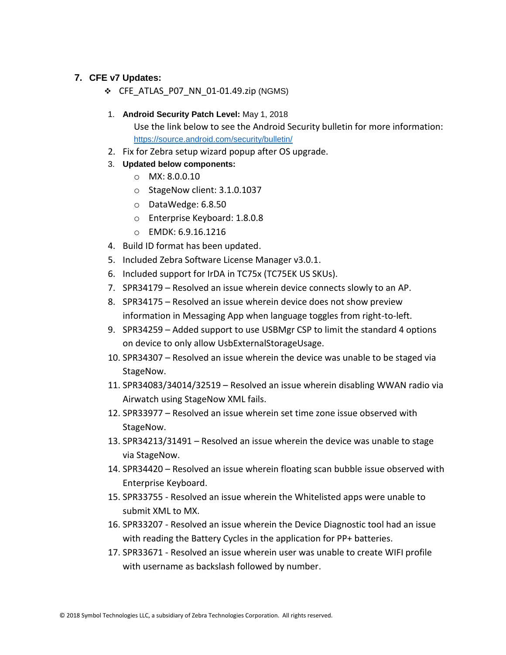#### **7. CFE v7 Updates:**

- ❖ CFE\_ATLAS\_P07\_NN\_01-01.49.zip (NGMS)
- 1. **Android Security Patch Level:** May 1, 2018 Use the link below to see the Android Security bulletin for more information: <https://source.android.com/security/bulletin/>
- 2. Fix for Zebra setup wizard popup after OS upgrade.
- 3. **Updated below components:**
	- o MX: 8.0.0.10
	- o StageNow client: 3.1.0.1037
	- o DataWedge: 6.8.50
	- o Enterprise Keyboard: 1.8.0.8
	- o EMDK: 6.9.16.1216
- 4. Build ID format has been updated.
- 5. Included Zebra Software License Manager v3.0.1.
- 6. Included support for IrDA in TC75x (TC75EK US SKUs).
- 7. SPR34179 Resolved an issue wherein device connects slowly to an AP.
- 8. SPR34175 Resolved an issue wherein device does not show preview information in Messaging App when language toggles from right-to-left.
- 9. SPR34259 Added support to use USBMgr CSP to limit the standard 4 options on device to only allow UsbExternalStorageUsage.
- 10. SPR34307 Resolved an issue wherein the device was unable to be staged via StageNow.
- 11. SPR34083/34014/32519 Resolved an issue wherein disabling WWAN radio via Airwatch using StageNow XML fails.
- 12. SPR33977 Resolved an issue wherein set time zone issue observed with StageNow.
- 13. SPR34213/31491 Resolved an issue wherein the device was unable to stage via StageNow.
- 14. SPR34420 Resolved an issue wherein floating scan bubble issue observed with Enterprise Keyboard.
- 15. SPR33755 Resolved an issue wherein the Whitelisted apps were unable to submit XML to MX.
- 16. SPR33207 Resolved an issue wherein the Device Diagnostic tool had an issue with reading the Battery Cycles in the application for PP+ batteries.
- 17. SPR33671 Resolved an issue wherein user was unable to create WIFI profile with username as backslash followed by number.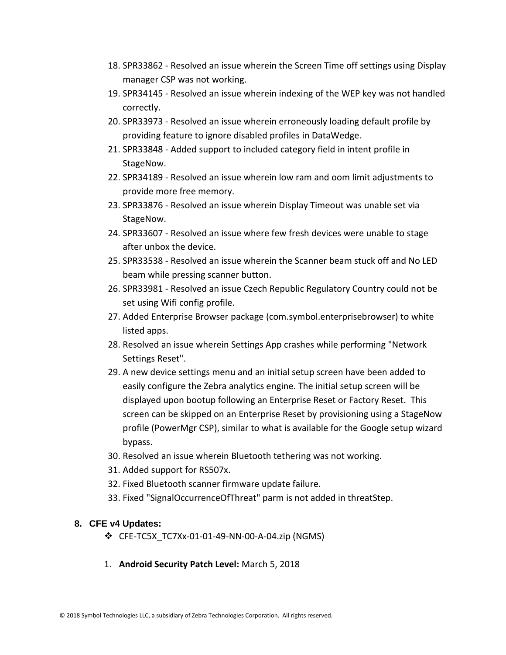- 18. SPR33862 Resolved an issue wherein the Screen Time off settings using Display manager CSP was not working.
- 19. SPR34145 Resolved an issue wherein indexing of the WEP key was not handled correctly.
- 20. SPR33973 Resolved an issue wherein erroneously loading default profile by providing feature to ignore disabled profiles in DataWedge.
- 21. SPR33848 Added support to included category field in intent profile in StageNow.
- 22. SPR34189 Resolved an issue wherein low ram and oom limit adjustments to provide more free memory.
- 23. SPR33876 Resolved an issue wherein Display Timeout was unable set via StageNow.
- 24. SPR33607 Resolved an issue where few fresh devices were unable to stage after unbox the device.
- 25. SPR33538 Resolved an issue wherein the Scanner beam stuck off and No LED beam while pressing scanner button.
- 26. SPR33981 Resolved an issue Czech Republic Regulatory Country could not be set using Wifi config profile.
- 27. Added Enterprise Browser package (com.symbol.enterprisebrowser) to white listed apps.
- 28. Resolved an issue wherein Settings App crashes while performing "Network Settings Reset".
- 29. A new device settings menu and an initial setup screen have been added to easily configure the Zebra analytics engine. The initial setup screen will be displayed upon bootup following an Enterprise Reset or Factory Reset. This screen can be skipped on an Enterprise Reset by provisioning using a StageNow profile (PowerMgr CSP), similar to what is available for the Google setup wizard bypass.
- 30. Resolved an issue wherein Bluetooth tethering was not working.
- 31. Added support for RS507x.
- 32. Fixed Bluetooth scanner firmware update failure.
- 33. Fixed "SignalOccurrenceOfThreat" parm is not added in threatStep.

#### **8. CFE v4 Updates:**

- ❖ CFE-TC5X\_TC7Xx-01-01-49-NN-00-A-04.zip (NGMS)
- 1. **Android Security Patch Level:** March 5, 2018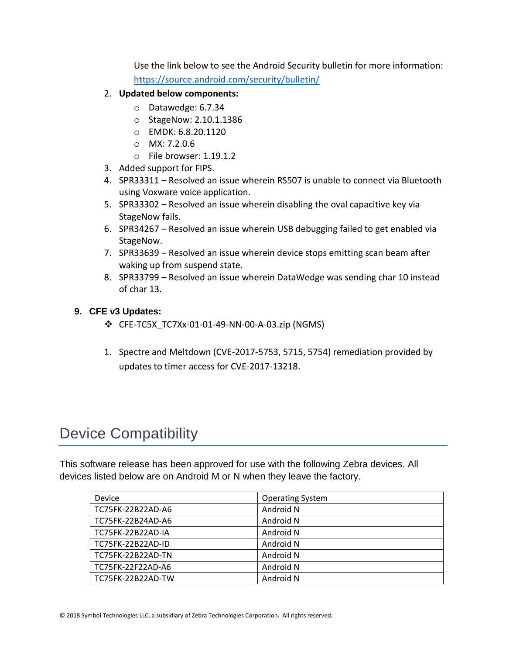Use the link below to see the Android Security bulletin for more information: <https://source.android.com/security/bulletin/>

- 2. **Updated below components:**
	- o Datawedge: 6.7.34
	- o StageNow: 2.10.1.1386
	- o EMDK: 6.8.20.1120
	- o MX: 7.2.0.6
	- o File browser: 1.19.1.2
- 3. Added support for FIPS.
- 4. SPR33311 Resolved an issue wherein RS507 is unable to connect via Bluetooth using Voxware voice application.
- 5. SPR33302 Resolved an issue wherein disabling the oval capacitive key via StageNow fails.
- 6. SPR34267 Resolved an issue wherein USB debugging failed to get enabled via StageNow.
- 7. SPR33639 Resolved an issue wherein device stops emitting scan beam after waking up from suspend state.
- 8. SPR33799 Resolved an issue wherein DataWedge was sending char 10 instead of char 13.

#### **9. CFE v3 Updates:**

- ❖ CFE-TC5X\_TC7Xx-01-01-49-NN-00-A-03.zip (NGMS)
- 1. Spectre and Meltdown (CVE-2017-5753, 5715, 5754) remediation provided by updates to timer access for CVE-2017-13218.

# <span id="page-10-0"></span>Device Compatibility

This software release has been approved for use with the following Zebra devices. All devices listed below are on Android M or N when they leave the factory.

| Device            | <b>Operating System</b> |
|-------------------|-------------------------|
| TC75FK-22B22AD-A6 | Android N               |
| TC75FK-22B24AD-A6 | Android N               |
| TC75FK-22B22AD-IA | Android N               |
| TC75FK-22B22AD-ID | Android N               |
| TC75FK-22B22AD-TN | Android N               |
| TC75FK-22F22AD-A6 | Android N               |
| TC75FK-22B22AD-TW | Android N               |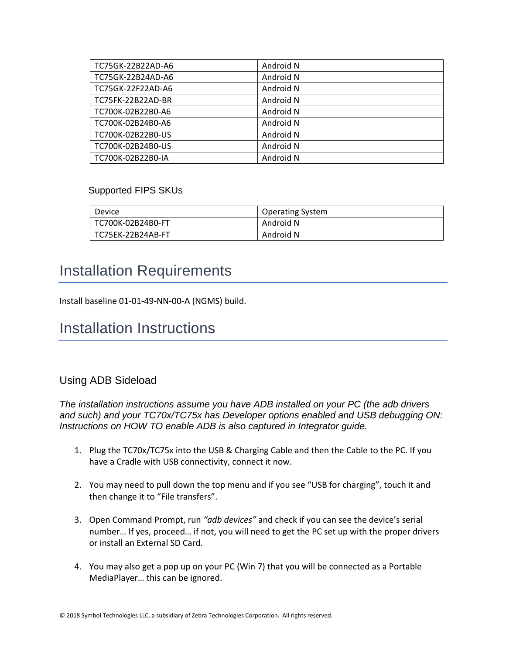| TC75GK-22B22AD-A6 | Android N |
|-------------------|-----------|
| TC75GK-22B24AD-A6 | Android N |
| TC75GK-22F22AD-A6 | Android N |
| TC75FK-22B22AD-BR | Android N |
| TC700K-02B22B0-A6 | Android N |
| TC700K-02B24B0-A6 | Android N |
| TC700K-02B22B0-US | Android N |
| TC700K-02B24B0-US | Android N |
| TC700K-02B22B0-IA | Android N |

#### Supported FIPS SKUs

| Device            | <b>Operating System</b> |
|-------------------|-------------------------|
| TC700K-02B24B0-FT | Android N               |
| TC75EK-22B24AB-FT | Android N               |

# <span id="page-11-0"></span>Installation Requirements

Install baseline 01-01-49-NN-00-A (NGMS) build.

# <span id="page-11-1"></span>Installation Instructions

#### Using ADB Sideload

*The installation instructions assume you have ADB installed on your PC (the adb drivers and such) and your TC70x/TC75x has Developer options enabled and USB debugging ON: Instructions on HOW TO enable ADB is also captured in Integrator guide.*

- 1. Plug the TC70x/TC75x into the USB & Charging Cable and then the Cable to the PC. If you have a Cradle with USB connectivity, connect it now.
- 2. You may need to pull down the top menu and if you see "USB for charging", touch it and then change it to "File transfers".
- 3. Open Command Prompt, run *"adb devices"* and check if you can see the device's serial number… If yes, proceed… if not, you will need to get the PC set up with the proper drivers or install an External SD Card.
- 4. You may also get a pop up on your PC (Win 7) that you will be connected as a Portable MediaPlayer… this can be ignored.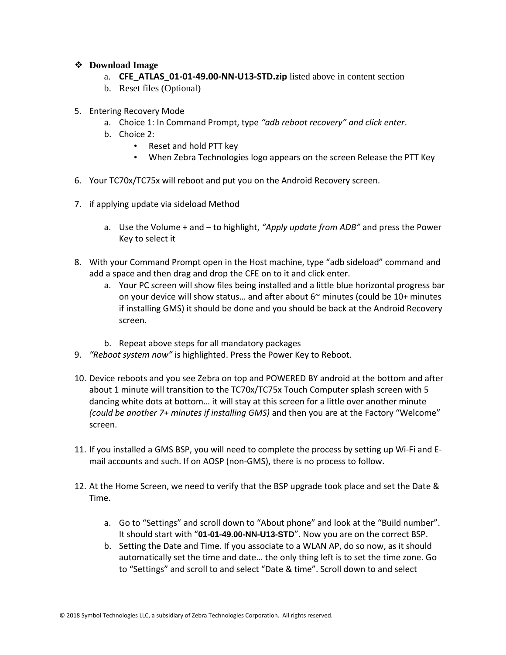#### ❖ **Download Image**

- a. **CFE\_ATLAS\_01-01-49.00-NN-U13-STD.zip** listed above in content section
- b. Reset files (Optional)
- 5. Entering Recovery Mode
	- a. Choice 1: In Command Prompt, type *"adb reboot recovery" and click enter*.
	- b. Choice 2:
		- Reset and hold PTT key
		- When Zebra Technologies logo appears on the screen Release the PTT Key
- 6. Your TC70x/TC75x will reboot and put you on the Android Recovery screen.
- 7. if applying update via sideload Method
	- a. Use the Volume + and to highlight, *"Apply update from ADB"* and press the Power Key to select it
- 8. With your Command Prompt open in the Host machine, type "adb sideload" command and add a space and then drag and drop the CFE on to it and click enter.
	- a. Your PC screen will show files being installed and a little blue horizontal progress bar on your device will show status... and after about  $6<sup>th</sup>$  minutes (could be 10+ minutes if installing GMS) it should be done and you should be back at the Android Recovery screen.
	- b. Repeat above steps for all mandatory packages
- 9. *"Reboot system now"* is highlighted. Press the Power Key to Reboot.
- 10. Device reboots and you see Zebra on top and POWERED BY android at the bottom and after about 1 minute will transition to the TC70x/TC75x Touch Computer splash screen with 5 dancing white dots at bottom… it will stay at this screen for a little over another minute *(could be another 7+ minutes if installing GMS)* and then you are at the Factory "Welcome" screen.
- 11. If you installed a GMS BSP, you will need to complete the process by setting up Wi‐Fi and E‐ mail accounts and such. If on AOSP (non‐GMS), there is no process to follow.
- 12. At the Home Screen, we need to verify that the BSP upgrade took place and set the Date & Time.
	- a. Go to "Settings" and scroll down to "About phone" and look at the "Build number". It should start with "**01-01-49.00-NN-U13-STD**". Now you are on the correct BSP.
	- b. Setting the Date and Time. If you associate to a WLAN AP, do so now, as it should automatically set the time and date… the only thing left is to set the time zone. Go to "Settings" and scroll to and select "Date & time". Scroll down to and select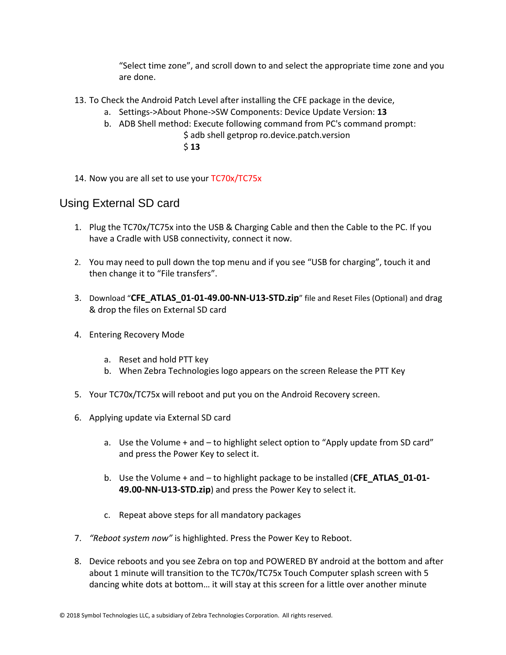"Select time zone", and scroll down to and select the appropriate time zone and you are done.

- 13. To Check the Android Patch Level after installing the CFE package in the device,
	- a. Settings->About Phone->SW Components: Device Update Version: **13**
	- b. ADB Shell method: Execute following command from PC's command prompt:
		- \$ adb shell getprop ro.device.patch.version \$ **13**
- 14. Now you are all set to use your TC70x/TC75x

#### Using External SD card

- 1. Plug the TC70x/TC75x into the USB & Charging Cable and then the Cable to the PC. If you have a Cradle with USB connectivity, connect it now.
- 2. You may need to pull down the top menu and if you see "USB for charging", touch it and then change it to "File transfers".
- 3. Download "**CFE\_ATLAS\_01-01-49.00-NN-U13-STD.zip**" file and Reset Files (Optional) and drag & drop the files on External SD card
- 4. Entering Recovery Mode
	- a. Reset and hold PTT key
	- b. When Zebra Technologies logo appears on the screen Release the PTT Key
- 5. Your TC70x/TC75x will reboot and put you on the Android Recovery screen.
- 6. Applying update via External SD card
	- a. Use the Volume + and to highlight select option to "Apply update from SD card" and press the Power Key to select it.
	- b. Use the Volume + and to highlight package to be installed (**CFE\_ATLAS\_01-01- 49.00-NN-U13-STD.zip**) and press the Power Key to select it.
	- c. Repeat above steps for all mandatory packages
- 7. *"Reboot system now"* is highlighted. Press the Power Key to Reboot.
- 8. Device reboots and you see Zebra on top and POWERED BY android at the bottom and after about 1 minute will transition to the TC70x/TC75x Touch Computer splash screen with 5 dancing white dots at bottom… it will stay at this screen for a little over another minute